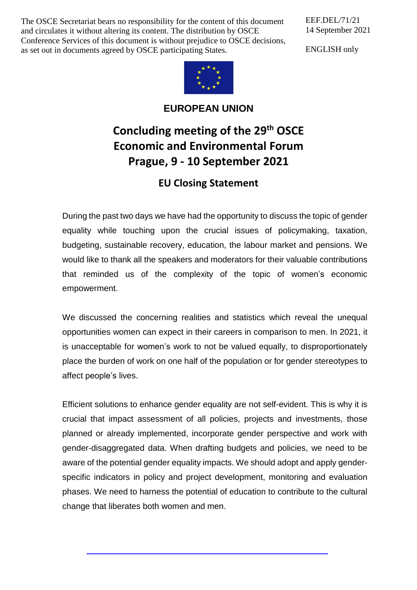The OSCE Secretariat bears no responsibility for the content of this document and circulates it without altering its content. The distribution by OSCE Conference Services of this document is without prejudice to OSCE decisions, as set out in documents agreed by OSCE participating States.

EEF.DEL/71/21 14 September 2021

ENGLISH only



**EUROPEAN UNION**

## **Concluding meeting of the 29 th OSCE Economic and Environmental Forum Prague, 9 - 10 September 2021**

## **EU Closing Statement**

During the past two days we have had the opportunity to discuss the topic of gender equality while touching upon the crucial issues of policymaking, taxation, budgeting, sustainable recovery, education, the labour market and pensions. We would like to thank all the speakers and moderators for their valuable contributions that reminded us of the complexity of the topic of women's economic empowerment.

We discussed the concerning realities and statistics which reveal the unequal opportunities women can expect in their careers in comparison to men. In 2021, it is unacceptable for women's work to not be valued equally, to disproportionately place the burden of work on one half of the population or for gender stereotypes to affect people's lives.

Efficient solutions to enhance gender equality are not self-evident. This is why it is crucial that impact assessment of all policies, projects and investments, those planned or already implemented, incorporate gender perspective and work with gender-disaggregated data. When drafting budgets and policies, we need to be aware of the potential gender equality impacts. We should adopt and apply genderspecific indicators in policy and project development, monitoring and evaluation phases. We need to harness the potential of education to contribute to the cultural change that liberates both women and men.